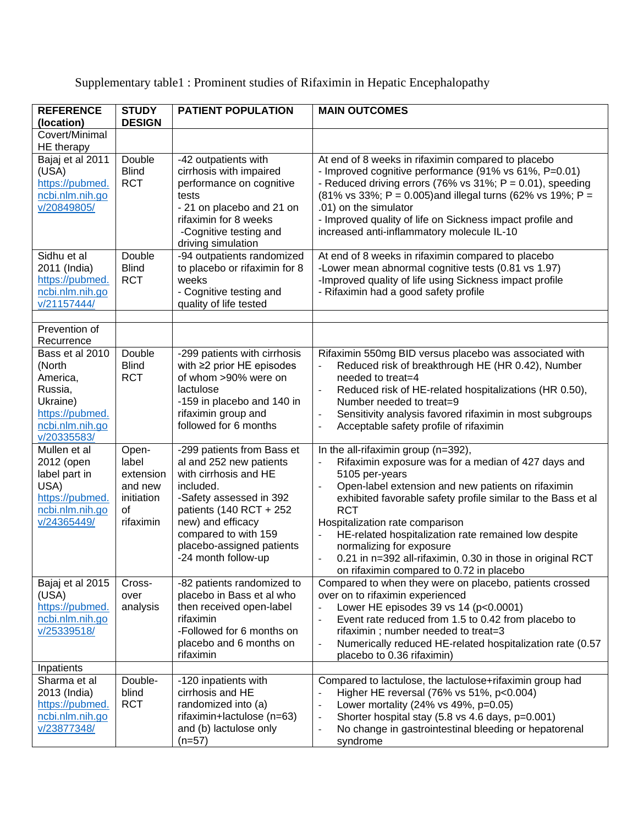Supplementary table1 : Prominent studies of Rifaximin in Hepatic Encephalopathy

| <b>REFERENCE</b>                                                                                                  | <b>STUDY</b>                                                            | <b>PATIENT POPULATION</b>                                                                                                                                                                                                                          | <b>MAIN OUTCOMES</b>                                                                                                                                                                                                                                                                                                                                                                                                                                                                                          |
|-------------------------------------------------------------------------------------------------------------------|-------------------------------------------------------------------------|----------------------------------------------------------------------------------------------------------------------------------------------------------------------------------------------------------------------------------------------------|---------------------------------------------------------------------------------------------------------------------------------------------------------------------------------------------------------------------------------------------------------------------------------------------------------------------------------------------------------------------------------------------------------------------------------------------------------------------------------------------------------------|
| (location)                                                                                                        | <b>DESIGN</b>                                                           |                                                                                                                                                                                                                                                    |                                                                                                                                                                                                                                                                                                                                                                                                                                                                                                               |
| Covert/Minimal<br>HE therapy                                                                                      |                                                                         |                                                                                                                                                                                                                                                    |                                                                                                                                                                                                                                                                                                                                                                                                                                                                                                               |
| Bajaj et al 2011<br>(USA)<br>https://pubmed.<br>ncbi.nlm.nih.go<br>v/20849805/                                    | Double<br><b>Blind</b><br><b>RCT</b>                                    | -42 outpatients with<br>cirrhosis with impaired<br>performance on cognitive<br>tests<br>- 21 on placebo and 21 on<br>rifaximin for 8 weeks<br>-Cognitive testing and<br>driving simulation                                                         | At end of 8 weeks in rifaximin compared to placebo<br>- Improved cognitive performance (91% vs 61%, P=0.01)<br>- Reduced driving errors (76% vs $31\%$ ; P = 0.01), speeding<br>(81% vs 33%; P = 0.005) and illegal turns (62% vs 19%; P =<br>.01) on the simulator<br>- Improved quality of life on Sickness impact profile and<br>increased anti-inflammatory molecule IL-10                                                                                                                                |
| Sidhu et al<br>2011 (India)<br>https://pubmed.<br>ncbi.nlm.nih.go<br>v/21157444/                                  | Double<br><b>Blind</b><br><b>RCT</b>                                    | -94 outpatients randomized<br>to placebo or rifaximin for 8<br>weeks<br>- Cognitive testing and<br>quality of life tested                                                                                                                          | At end of 8 weeks in rifaximin compared to placebo<br>-Lower mean abnormal cognitive tests (0.81 vs 1.97)<br>-Improved quality of life using Sickness impact profile<br>- Rifaximin had a good safety profile                                                                                                                                                                                                                                                                                                 |
| Prevention of<br>Recurrence                                                                                       |                                                                         |                                                                                                                                                                                                                                                    |                                                                                                                                                                                                                                                                                                                                                                                                                                                                                                               |
| Bass et al 2010<br>(North<br>America,<br>Russia,<br>Ukraine)<br>https://pubmed.<br>ncbi.nlm.nih.go<br>v/20335583/ | Double<br><b>Blind</b><br><b>RCT</b>                                    | -299 patients with cirrhosis<br>with $\geq$ 2 prior HE episodes<br>of whom >90% were on<br>lactulose<br>-159 in placebo and 140 in<br>rifaximin group and<br>followed for 6 months                                                                 | Rifaximin 550mg BID versus placebo was associated with<br>Reduced risk of breakthrough HE (HR 0.42), Number<br>needed to treat=4<br>Reduced risk of HE-related hospitalizations (HR 0.50),<br>Number needed to treat=9<br>Sensitivity analysis favored rifaximin in most subgroups<br>$\overline{\phantom{a}}$<br>Acceptable safety profile of rifaximin<br>$\frac{1}{2}$                                                                                                                                     |
| Mullen et al<br>2012 (open<br>label part in<br>USA)<br>https://pubmed.<br>ncbi.nlm.nih.go<br>v/24365449/          | Open-<br>label<br>extension<br>and new<br>initiation<br>of<br>rifaximin | -299 patients from Bass et<br>al and 252 new patients<br>with cirrhosis and HE<br>included.<br>-Safety assessed in 392<br>patients (140 RCT + 252<br>new) and efficacy<br>compared to with 159<br>placebo-assigned patients<br>-24 month follow-up | In the all-rifaximin group (n=392),<br>Rifaximin exposure was for a median of 427 days and<br>5105 per-years<br>Open-label extension and new patients on rifaximin<br>exhibited favorable safety profile similar to the Bass et al<br><b>RCT</b><br>Hospitalization rate comparison<br>HE-related hospitalization rate remained low despite<br>normalizing for exposure<br>0.21 in n=392 all-rifaximin, 0.30 in those in original RCT<br>$\overline{\phantom{a}}$<br>on rifaximin compared to 0.72 in placebo |
| Bajaj et al 2015<br>(USA)<br>https://pubmed.<br>ncbi.nlm.nih.go<br>v/25339518/                                    | Cross-<br>over<br>analysis                                              | -82 patients randomized to<br>placebo in Bass et al who<br>then received open-label<br>rifaximin<br>-Followed for 6 months on<br>placebo and 6 months on<br>rifaximin                                                                              | Compared to when they were on placebo, patients crossed<br>over on to rifaximin experienced<br>Lower HE episodes 39 vs 14 (p<0.0001)<br>$\blacksquare$<br>Event rate reduced from 1.5 to 0.42 from placebo to<br>$\blacksquare$<br>rifaximin; number needed to treat=3<br>Numerically reduced HE-related hospitalization rate (0.57<br>$\overline{\phantom{a}}$<br>placebo to 0.36 rifaximin)                                                                                                                 |
| Inpatients<br>Sharma et al<br>2013 (India)<br>https://pubmed.<br>ncbi.nlm.nih.go<br>v/23877348/                   | Double-<br>blind<br><b>RCT</b>                                          | -120 inpatients with<br>cirrhosis and HE<br>randomized into (a)<br>rifaximin+lactulose (n=63)<br>and (b) lactulose only<br>$(n=57)$                                                                                                                | Compared to lactulose, the lactulose+rifaximin group had<br>Higher HE reversal (76% vs 51%, p<0.004)<br>Lower mortality (24% vs 49%, p=0.05)<br>$\overline{\phantom{a}}$<br>Shorter hospital stay (5.8 vs 4.6 days, p=0.001)<br>$\overline{\phantom{a}}$<br>No change in gastrointestinal bleeding or hepatorenal<br>$\overline{\phantom{a}}$<br>syndrome                                                                                                                                                     |